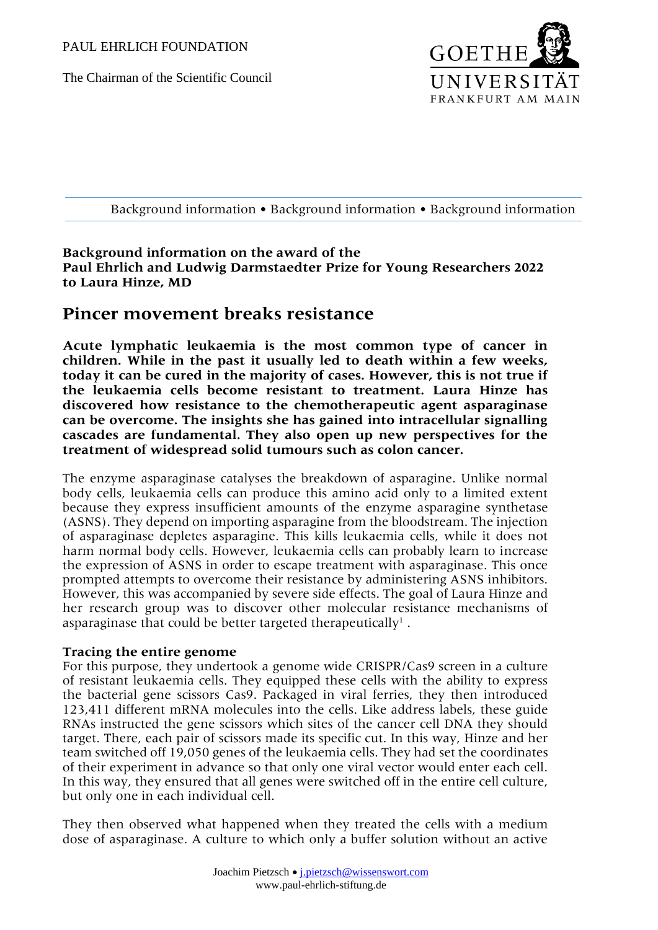The Chairman of the Scientific Council



Background information • Background information • Background information

## **Background information on the award of the Paul Ehrlich and Ludwig Darmstaedter Prize for Young Researchers 2022 to Laura Hinze, MD**

# **Pincer movement breaks resistance**

**Acute lymphatic leukaemia is the most common type of cancer in children. While in the past it usually led to death within a few weeks, today it can be cured in the majority of cases. However, this is not true if the leukaemia cells become resistant to treatment. Laura Hinze has discovered how resistance to the chemotherapeutic agent asparaginase can be overcome. The insights she has gained into intracellular signalling cascades are fundamental. They also open up new perspectives for the treatment of widespread solid tumours such as colon cancer.**

The enzyme asparaginase catalyses the breakdown of asparagine. Unlike normal body cells, leukaemia cells can produce this amino acid only to a limited extent because they express insufficient amounts of the enzyme asparagine synthetase (ASNS). They depend on importing asparagine from the bloodstream. The injection of asparaginase depletes asparagine. This kills leukaemia cells, while it does not harm normal body cells. However, leukaemia cells can probably learn to increase the expression of ASNS in order to escape treatment with asparaginase. This once prompted attempts to overcome their resistance by administering ASNS inhibitors. However, this was accompanied by severe side effects. The goal of Laura Hinze and her research group was to discover other molecular resistance mechanisms of asparaginase that could be better targeted therapeutically<sup>1</sup>.

## **Tracing the entire genome**

For this purpose, they undertook a genome wide CRISPR/Cas9 screen in a culture of resistant leukaemia cells. They equipped these cells with the ability to express the bacterial gene scissors Cas9. Packaged in viral ferries, they then introduced 123,411 different mRNA molecules into the cells. Like address labels, these guide RNAs instructed the gene scissors which sites of the cancer cell DNA they should target. There, each pair of scissors made its specific cut. In this way, Hinze and her team switched off 19,050 genes of the leukaemia cells. They had set the coordinates of their experiment in advance so that only one viral vector would enter each cell. In this way, they ensured that all genes were switched off in the entire cell culture, but only one in each individual cell.

They then observed what happened when they treated the cells with a medium dose of asparaginase. A culture to which only a buffer solution without an active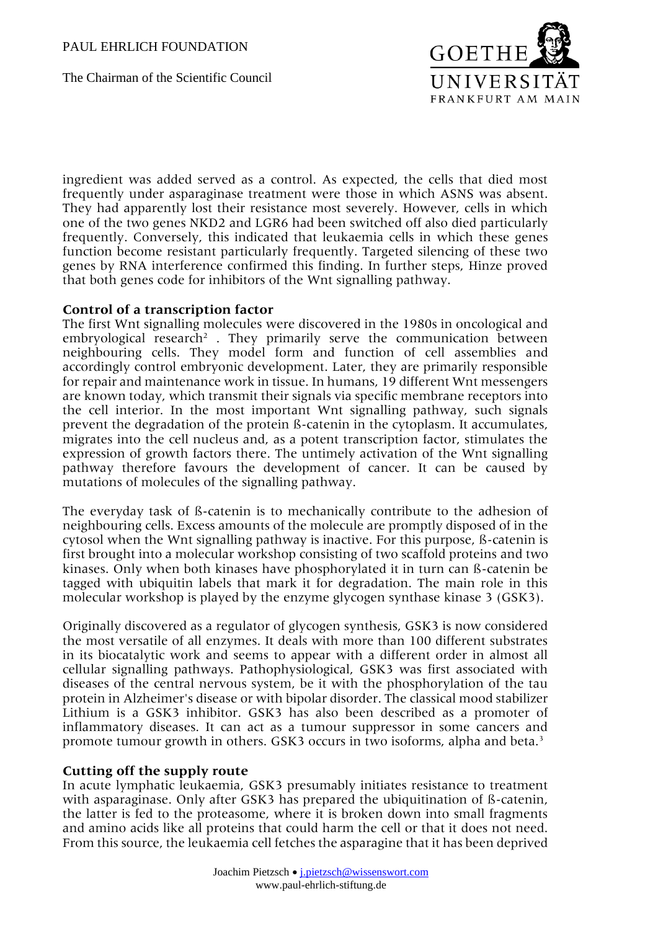The Chairman of the Scientific Council



ingredient was added served as a control. As expected, the cells that died most frequently under asparaginase treatment were those in which ASNS was absent. They had apparently lost their resistance most severely. However, cells in which one of the two genes NKD2 and LGR6 had been switched off also died particularly frequently. Conversely, this indicated that leukaemia cells in which these genes function become resistant particularly frequently. Targeted silencing of these two genes by RNA interference confirmed this finding. In further steps, Hinze proved that both genes code for inhibitors of the Wnt signalling pathway.

### **Control of a transcription factor**

The first Wnt signalling molecules were discovered in the 1980s in oncological and embryological research<sup>2</sup>. They primarily serve the communication between neighbouring cells. They model form and function of cell assemblies and accordingly control embryonic development. Later, they are primarily responsible for repair and maintenance work in tissue. In humans, 19 different Wnt messengers are known today, which transmit their signals via specific membrane receptors into the cell interior. In the most important Wnt signalling pathway, such signals prevent the degradation of the protein ß-catenin in the cytoplasm. It accumulates, migrates into the cell nucleus and, as a potent transcription factor, stimulates the expression of growth factors there. The untimely activation of the Wnt signalling pathway therefore favours the development of cancer. It can be caused by mutations of molecules of the signalling pathway.

The everyday task of ß-catenin is to mechanically contribute to the adhesion of neighbouring cells. Excess amounts of the molecule are promptly disposed of in the cytosol when the Wnt signalling pathway is inactive. For this purpose, ß-catenin is first brought into a molecular workshop consisting of two scaffold proteins and two kinases. Only when both kinases have phosphorylated it in turn can ß-catenin be tagged with ubiquitin labels that mark it for degradation. The main role in this molecular workshop is played by the enzyme glycogen synthase kinase 3 (GSK3).

Originally discovered as a regulator of glycogen synthesis, GSK3 is now considered the most versatile of all enzymes. It deals with more than 100 different substrates in its biocatalytic work and seems to appear with a different order in almost all cellular signalling pathways. Pathophysiological, GSK3 was first associated with diseases of the central nervous system, be it with the phosphorylation of the tau protein in Alzheimer's disease or with bipolar disorder. The classical mood stabilizer Lithium is a GSK3 inhibitor. GSK3 has also been described as a promoter of inflammatory diseases. It can act as a tumour suppressor in some cancers and promote tumour growth in others. GSK3 occurs in two isoforms, alpha and beta.<sup>3</sup>

## **Cutting off the supply route**

In acute lymphatic leukaemia, GSK3 presumably initiates resistance to treatment with asparaginase. Only after GSK3 has prepared the ubiquitination of ß-catenin, the latter is fed to the proteasome, where it is broken down into small fragments and amino acids like all proteins that could harm the cell or that it does not need. From this source, the leukaemia cell fetches the asparagine that it has been deprived